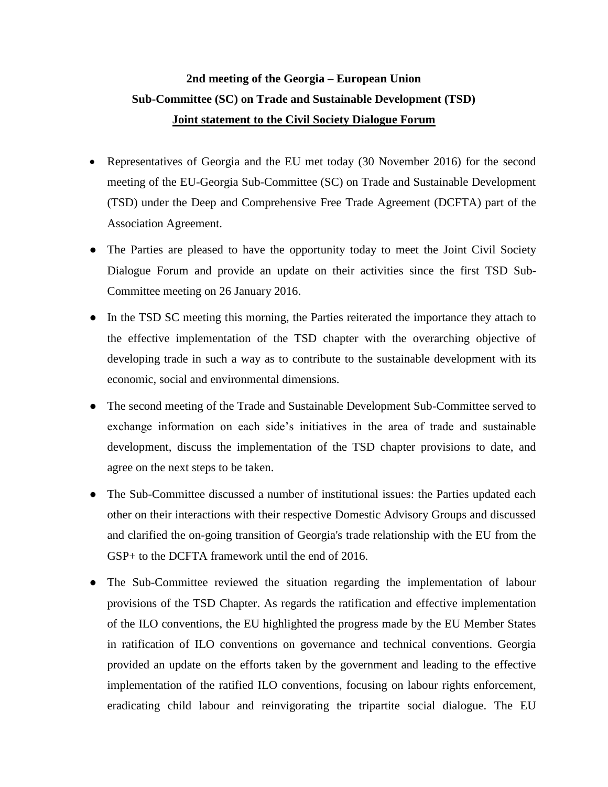## **2nd meeting of the Georgia – European Union Sub-Committee (SC) on Trade and Sustainable Development (TSD) Joint statement to the Civil Society Dialogue Forum**

- Representatives of Georgia and the EU met today (30 November 2016) for the second meeting of the EU-Georgia Sub-Committee (SC) on Trade and Sustainable Development (TSD) under the Deep and Comprehensive Free Trade Agreement (DCFTA) part of the Association Agreement.
- The Parties are pleased to have the opportunity today to meet the Joint Civil Society Dialogue Forum and provide an update on their activities since the first TSD Sub-Committee meeting on 26 January 2016.
- In the TSD SC meeting this morning, the Parties reiterated the importance they attach to the effective implementation of the TSD chapter with the overarching objective of developing trade in such a way as to contribute to the sustainable development with its economic, social and environmental dimensions.
- The second meeting of the Trade and Sustainable Development Sub-Committee served to exchange information on each side's initiatives in the area of trade and sustainable development, discuss the implementation of the TSD chapter provisions to date, and agree on the next steps to be taken.
- The Sub-Committee discussed a number of institutional issues: the Parties updated each other on their interactions with their respective Domestic Advisory Groups and discussed and clarified the on-going transition of Georgia's trade relationship with the EU from the GSP+ to the DCFTA framework until the end of 2016.
- The Sub-Committee reviewed the situation regarding the implementation of labour provisions of the TSD Chapter. As regards the ratification and effective implementation of the ILO conventions, the EU highlighted the progress made by the EU Member States in ratification of ILO conventions on governance and technical conventions. Georgia provided an update on the efforts taken by the government and leading to the effective implementation of the ratified ILO conventions, focusing on labour rights enforcement, eradicating child labour and reinvigorating the tripartite social dialogue. The EU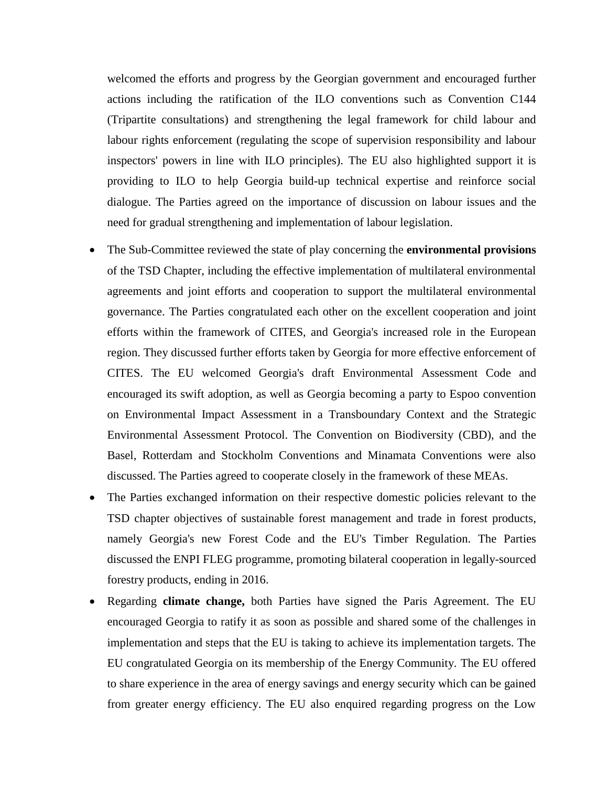welcomed the efforts and progress by the Georgian government and encouraged further actions including the ratification of the ILO conventions such as Convention C144 (Tripartite consultations) and strengthening the legal framework for child labour and labour rights enforcement (regulating the scope of supervision responsibility and labour inspectors' powers in line with ILO principles). The EU also highlighted support it is providing to ILO to help Georgia build-up technical expertise and reinforce social dialogue. The Parties agreed on the importance of discussion on labour issues and the need for gradual strengthening and implementation of labour legislation.

- The Sub-Committee reviewed the state of play concerning the **environmental provisions** of the TSD Chapter, including the effective implementation of multilateral environmental agreements and joint efforts and cooperation to support the multilateral environmental governance. The Parties congratulated each other on the excellent cooperation and joint efforts within the framework of CITES, and Georgia's increased role in the European region. They discussed further efforts taken by Georgia for more effective enforcement of CITES. The EU welcomed Georgia's draft Environmental Assessment Code and encouraged its swift adoption, as well as Georgia becoming a party to Espoo convention on Environmental Impact Assessment in a Transboundary Context and the Strategic Environmental Assessment Protocol. The Convention on Biodiversity (CBD), and the Basel, Rotterdam and Stockholm Conventions and Minamata Conventions were also discussed. The Parties agreed to cooperate closely in the framework of these MEAs.
- The Parties exchanged information on their respective domestic policies relevant to the TSD chapter objectives of sustainable forest management and trade in forest products, namely Georgia's new Forest Code and the EU's Timber Regulation. The Parties discussed the ENPI FLEG programme, promoting bilateral cooperation in legally-sourced forestry products, ending in 2016.
- Regarding **climate change,** both Parties have signed the Paris Agreement. The EU encouraged Georgia to ratify it as soon as possible and shared some of the challenges in implementation and steps that the EU is taking to achieve its implementation targets. The EU congratulated Georgia on its membership of the Energy Community. The EU offered to share experience in the area of energy savings and energy security which can be gained from greater energy efficiency. The EU also enquired regarding progress on the Low